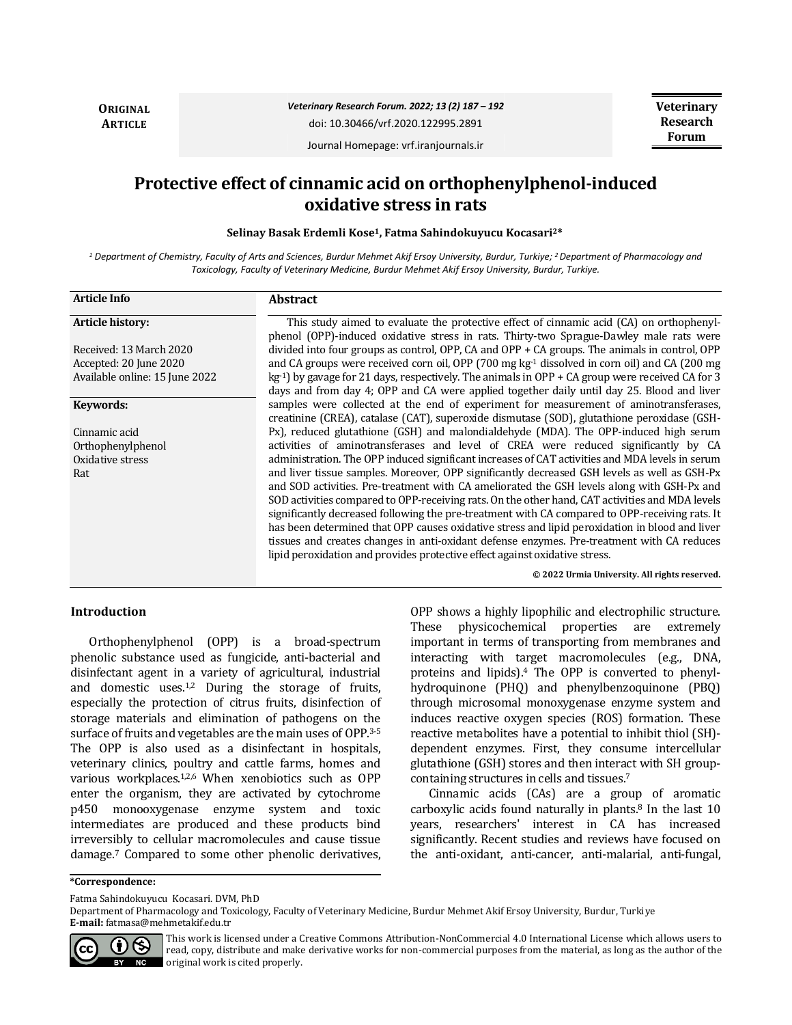**ORIGINAL ARTICLE**

*Veterinary Research Forum. 2022; 13 (2) 187 – 192*

doi: 10.30466/vrf.2020.122995.2891

**Veterinary Research Forum**

Journal Homepage: vrf.iranjournals.ir

# **Protective effect of cinnamic acid on orthophenylphenol-induced oxidative stress in rats**

**Selinay Basak Erdemli Kose1, Fatma Sahindokuyucu Kocasari2\***

*<sup>1</sup> Department of Chemistry, Faculty of Arts and Sciences, Burdur Mehmet Akif Ersoy University, Burdur, Turkiye; <sup>2</sup>Department of Pharmacology and Toxicology, Faculty of Veterinary Medicine, Burdur Mehmet Akif Ersoy University, Burdur, Turkiye.*

| <b>Article Info</b>            | <b>Abstract</b>                                                                                                                                                                      |
|--------------------------------|--------------------------------------------------------------------------------------------------------------------------------------------------------------------------------------|
| <b>Article history:</b>        | This study aimed to evaluate the protective effect of cinnamic acid (CA) on orthophenyl-<br>phenol (OPP)-induced oxidative stress in rats. Thirty-two Sprague-Dawley male rats were  |
| Received: 13 March 2020        | divided into four groups as control, OPP, $CA$ and OPP $+ CA$ groups. The animals in control, OPP                                                                                    |
| Accepted: 20 June 2020         | and CA groups were received corn oil, OPP (700 mg $kg-1$ dissolved in corn oil) and CA (200 mg                                                                                       |
| Available online: 15 June 2022 | $kg-1$ ) by gavage for 21 days, respectively. The animals in OPP + CA group were received CA for 3                                                                                   |
|                                | days and from day 4; OPP and CA were applied together daily until day 25. Blood and liver                                                                                            |
| Keywords:                      | samples were collected at the end of experiment for measurement of aminotransferases,<br>creatinine (CREA), catalase (CAT), superoxide dismutase (SOD), glutathione peroxidase (GSH- |
| Cinnamic acid                  | Px), reduced glutathione (GSH) and malondialdehyde (MDA). The OPP-induced high serum                                                                                                 |
| Orthophenylphenol              | activities of aminotransferases and level of CREA were reduced significantly by CA                                                                                                   |
| Oxidative stress               | administration. The OPP induced significant increases of CAT activities and MDA levels in serum                                                                                      |
| Rat                            | and liver tissue samples. Moreover, OPP significantly decreased GSH levels as well as GSH-Px                                                                                         |
|                                | and SOD activities. Pre-treatment with CA ameliorated the GSH levels along with GSH-Px and                                                                                           |
|                                | SOD activities compared to OPP-receiving rats. On the other hand, CAT activities and MDA levels                                                                                      |
|                                | significantly decreased following the pre-treatment with CA compared to OPP-receiving rats. It                                                                                       |
|                                | has been determined that OPP causes oxidative stress and lipid peroxidation in blood and liver                                                                                       |
|                                | tissues and creates changes in anti-oxidant defense enzymes. Pre-treatment with CA reduces                                                                                           |
|                                | lipid peroxidation and provides protective effect against oxidative stress.                                                                                                          |
|                                | © 2022 Urmia University. All rights reserved.                                                                                                                                        |

# **Introduction**

Orthophenylphenol (OPP) is a broad-spectrum phenolic substance used as fungicide, anti-bacterial and disinfectant agent in a variety of agricultural, industrial and domestic uses. $1,2$  During the storage of fruits, especially the protection of citrus fruits, disinfection of storage materials and elimination of pathogens on the surface of fruits and vegetables are the main uses of OPP.3-5 The OPP is also used as a disinfectant in hospitals, veterinary clinics, poultry and cattle farms, homes and various workplaces.<sup>1,2,6</sup> When xenobiotics such as OPP enter the organism, they are activated by cytochrome p450 monooxygenase enzyme system and toxic intermediates are produced and these products bind irreversibly to cellular macromolecules and cause tissue damage.<sup>7</sup> Compared to some other phenolic derivatives,

OPP shows a highly lipophilic and electrophilic structure. These physicochemical properties are extremely important in terms of transporting from membranes and interacting with target macromolecules (e.g., DNA, proteins and lipids).<sup>4</sup> The OPP is converted to phenylhydroquinone (PHQ) and phenylbenzoquinone (PBQ) through microsomal monoxygenase enzyme system and induces reactive oxygen species (ROS) formation. These reactive metabolites have a potential to inhibit thiol (SH) dependent enzymes. First, they consume intercellular glutathione (GSH) stores and then interact with SH groupcontaining structures in cells and tissues.<sup>7</sup>

Cinnamic acids (CAs) are a group of aromatic carboxylic acids found naturally in plants.<sup>8</sup> In the last 10 years, researchers' interest in CA has increased significantly. Recent studies and reviews have focused on the anti-oxidant, anti-cancer, anti-malarial, anti-fungal,

**\*Correspondence:**

Fatma Sahindokuyucu Kocasari. DVM, PhD

Department of Pharmacology and Toxicology, Faculty of Veterinary Medicine, Burdur Mehmet Akif Ersoy University, Burdur, Turkiye **E-mail:** fatmasa@mehmetakif.edu.tr



This work is licensed under a [Creative Commons Attribution-NonCommercial 4.0 International](http://creativecommons.org/licenses/by-nc/4.0/) License which allows users to read, copy, distribute and make derivative works for non-commercial purposes from the material, as long as the author of the original work is cited properly.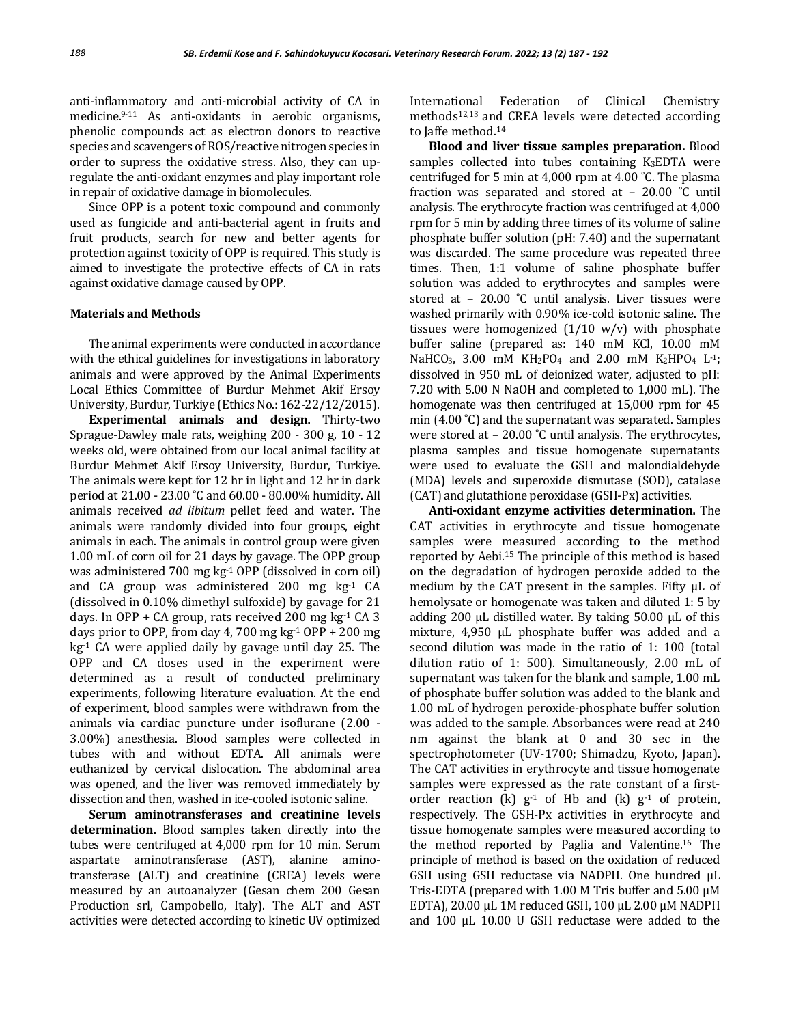anti-inflammatory and anti-microbial activity of CA in medicine.9-11 As anti-oxidants in aerobic organisms, phenolic compounds act as electron donors to reactive species and scavengers of ROS/reactive nitrogen species in order to supress the oxidative stress. Also, they can upregulate the anti-oxidant enzymes and play important role in repair of oxidative damage in biomolecules.

Since OPP is a potent toxic compound and commonly used as fungicide and anti-bacterial agent in fruits and fruit products, search for new and better agents for protection against toxicity of OPP is required. This study is aimed to investigate the protective effects of CA in rats against oxidative damage caused by OPP.

#### **Materials and Methods**

The animal experiments were conducted in accordance with the ethical guidelines for investigations in laboratory animals and were approved by the Animal Experiments Local Ethics Committee of Burdur Mehmet Akif Ersoy University, Burdur, Turkiye (Ethics No.: 162-22/12/2015).

**Experimental animals and design.** Thirty-two Sprague-Dawley male rats, weighing 200 - 300 g, 10 - 12 weeks old, were obtained from our local animal facility at Burdur Mehmet Akif Ersoy University, Burdur, Turkiye. The animals were kept for 12 hr in light and 12 hr in dark period at 21.00 - 23.00 ˚C and 60.00 - 80.00% humidity. All animals received *ad libitum* pellet feed and water. The animals were randomly divided into four groups, eight animals in each. The animals in control group were given 1.00 mL of corn oil for 21 days by gavage. The OPP group was administered 700 mg  $kg<sup>-1</sup>$  OPP (dissolved in corn oil) and CA group was administered 200 mg kg-1 CA (dissolved in 0.10% dimethyl sulfoxide) by gavage for 21 days. In OPP + CA group, rats received 200 mg  $kg<sup>-1</sup> CA$  3 days prior to OPP, from day 4, 700 mg  $kg<sup>-1</sup>$  OPP + 200 mg  $kg<sup>-1</sup>$  CA were applied daily by gavage until day 25. The OPP and CA doses used in the experiment were determined as a result of conducted preliminary experiments, following literature evaluation. At the end of experiment, blood samples were withdrawn from the animals via cardiac puncture under isoflurane (2.00 - 3.00%) anesthesia. Blood samples were collected in tubes with and without EDTA. All animals were euthanized by cervical dislocation. The abdominal area was opened, and the liver was removed immediately by dissection and then, washed in ice-cooled isotonic saline.

**Serum aminotransferases and creatinine levels determination.** Blood samples taken directly into the tubes were centrifuged at 4,000 rpm for 10 min. Serum aspartate aminotransferase (AST), alanine aminotransferase (ALT) and creatinine (CREA) levels were measured by an autoanalyzer (Gesan chem 200 Gesan Production srl, Campobello, Italy). The ALT and AST activities were detected according to kinetic UV optimized

International Federation of Clinical Chemistry methods12,13 and CREA levels were detected according to Jaffe method.<sup>14</sup>

**Blood and liver tissue samples preparation.** Blood samples collected into tubes containing K3EDTA were centrifuged for 5 min at 4,000 rpm at 4.00 ˚C. The plasma fraction was separated and stored at – 20.00 ˚C until analysis. The erythrocyte fraction was centrifuged at 4,000 rpm for 5 min by adding three times of its volume of saline phosphate buffer solution (pH: 7.40) and the supernatant was discarded. The same procedure was repeated three times. Then, 1:1 volume of saline phosphate buffer solution was added to erythrocytes and samples were stored at – 20.00 ˚C until analysis. Liver tissues were washed primarily with 0.90% ice-cold isotonic saline. The tissues were homogenized  $(1/10 \t w/v)$  with phosphate buffer saline (prepared as: 140 mM KCl, 10.00 mM NaHCO<sub>3</sub>, 3.00 mM KH<sub>2</sub>PO<sub>4</sub> and 2.00 mM K<sub>2</sub>HPO<sub>4</sub> L<sup>-1</sup>; dissolved in 950 mL of deionized water, adjusted to pH: 7.20 with 5.00 N NaOH and completed to 1,000 mL). The homogenate was then centrifuged at 15,000 rpm for 45 min (4.00 °C) and the supernatant was separated. Samples were stored at - 20.00 °C until analysis. The erythrocytes, plasma samples and tissue homogenate supernatants were used to evaluate the GSH and malondialdehyde (MDA) levels and superoxide dismutase (SOD), catalase (CAT) and glutathione peroxidase (GSH-Px) activities.

**Anti-oxidant enzyme activities determination.** The CAT activities in erythrocyte and tissue homogenate samples were measured according to the method reported by Aebi.<sup>15</sup> The principle of this method is based on the degradation of hydrogen peroxide added to the medium by the CAT present in the samples. Fifty µL of hemolysate or homogenate was taken and diluted 1: 5 by adding 200  $\mu$ L distilled water. By taking 50.00  $\mu$ L of this mixture, 4,950 µL phosphate buffer was added and a second dilution was made in the ratio of 1: 100 (total dilution ratio of 1: 500). Simultaneously, 2.00 mL of supernatant was taken for the blank and sample, 1.00 mL of phosphate buffer solution was added to the blank and 1.00 mL of hydrogen peroxide-phosphate buffer solution was added to the sample. Absorbances were read at 240 nm against the blank at 0 and 30 sec in the spectrophotometer (UV-1700; Shimadzu, Kyoto, Japan). The CAT activities in erythrocyte and tissue homogenate samples were expressed as the rate constant of a firstorder reaction  $(k)$   $g<sup>-1</sup>$  of Hb and  $(k)$   $g<sup>-1</sup>$  of protein, respectively. The GSH-Px activities in erythrocyte and tissue homogenate samples were measured according to the method reported by Paglia and Valentine.<sup>16</sup> The principle of method is based on the oxidation of reduced GSH using GSH reductase via NADPH. One hundred µL Tris-EDTA (prepared with 1.00 M Tris buffer and 5.00 µM EDTA), 20.00 µL 1M reduced GSH, 100 µL 2.00 µM NADPH and 100 µL 10.00 U GSH reductase were added to the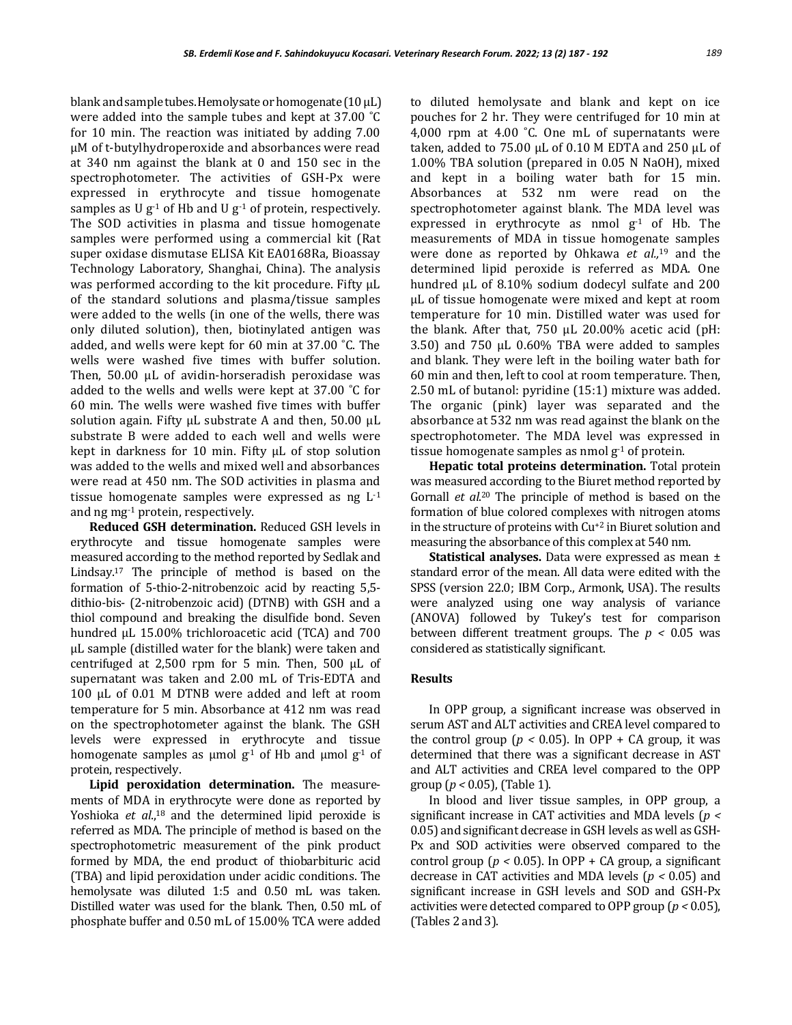blank and sample tubes. Hemolysate or homogenate  $(10 \mu L)$ were added into the sample tubes and kept at 37.00 ˚C for 10 min. The reaction was initiated by adding 7.00 µM of t-butylhydroperoxide and absorbances were read at 340 nm against the blank at 0 and 150 sec in the spectrophotometer. The activities of GSH-Px were expressed in erythrocyte and tissue homogenate samples as U  $g^{-1}$  of Hb and U  $g^{-1}$  of protein, respectively. The SOD activities in plasma and tissue homogenate samples were performed using a commercial kit (Rat super oxidase dismutase ELISA Kit EA0168Ra, Bioassay Technology Laboratory, Shanghai, China). The analysis was performed according to the kit procedure. Fifty µL of the standard solutions and plasma/tissue samples were added to the wells (in one of the wells, there was only diluted solution), then, biotinylated antigen was added, and wells were kept for 60 min at 37.00 ˚C. The wells were washed five times with buffer solution. Then, 50.00 µL of avidin-horseradish peroxidase was added to the wells and wells were kept at 37.00 ˚C for 60 min. The wells were washed five times with buffer solution again. Fifty  $\mu$ L substrate A and then, 50.00  $\mu$ L substrate B were added to each well and wells were kept in darkness for 10 min. Fifty µL of stop solution was added to the wells and mixed well and absorbances were read at 450 nm. The SOD activities in plasma and tissue homogenate samples were expressed as  $ng L^{-1}$ and ng mg-1 protein, respectively.

**Reduced GSH determination.** Reduced GSH levels in erythrocyte and tissue homogenate samples were measured according to the method reported by Sedlak and Lindsay.<sup>17</sup> The principle of method is based on the formation of 5-thio-2-nitrobenzoic acid by reacting 5,5 dithio-bis- (2-nitrobenzoic acid) (DTNB) with GSH and a thiol compound and breaking the disulfide bond. Seven hundred µL 15.00% trichloroacetic acid (TCA) and 700 µL sample (distilled water for the blank) were taken and centrifuged at  $2,500$  rpm for 5 min. Then,  $500 \mu L$  of supernatant was taken and 2.00 mL of Tris-EDTA and 100 µL of 0.01 M DTNB were added and left at room temperature for 5 min. Absorbance at 412 nm was read on the spectrophotometer against the blank. The GSH levels were expressed in erythrocyte and tissue homogenate samples as  $\mu$ mol g<sup>-1</sup> of Hb and  $\mu$ mol g<sup>-1</sup> of protein, respectively.

**Lipid peroxidation determination.** The measurements of MDA in erythrocyte were done as reported by Yoshioka *et al.*<sup>18</sup> and the determined lipid peroxide is referred as MDA. The principle of method is based on the spectrophotometric measurement of the pink product formed by MDA, the end product of thiobarbituric acid (TBA) and lipid peroxidation under acidic conditions. The hemolysate was diluted 1:5 and 0.50 mL was taken. Distilled water was used for the blank. Then, 0.50 mL of phosphate buffer and 0.50 mL of 15.00% TCA were added to diluted hemolysate and blank and kept on ice pouches for 2 hr. They were centrifuged for 10 min at 4,000 rpm at 4.00 °C. One mL of supernatants were taken, added to  $75.00 \mu L$  of 0.10 M EDTA and 250  $\mu L$  of 1.00% TBA solution (prepared in 0.05 N NaOH), mixed and kept in a boiling water bath for 15 min. Absorbances at 532 nm were read on the spectrophotometer against blank. The MDA level was expressed in erythrocyte as nmol  $g^{-1}$  of Hb. The measurements of MDA in tissue homogenate samples were done as reported by Ohkawa *et al.,*<sup>19</sup> and the determined lipid peroxide is referred as MDA. One hundred µL of 8.10% sodium dodecyl sulfate and 200 µL of tissue homogenate were mixed and kept at room temperature for 10 min. Distilled water was used for the blank. After that, 750 µL 20.00% acetic acid (pH: 3.50) and 750 µL 0.60% TBA were added to samples and blank. They were left in the boiling water bath for 60 min and then, left to cool at room temperature. Then, 2.50 mL of butanol: pyridine (15:1) mixture was added. The organic (pink) layer was separated and the absorbance at 532 nm was read against the blank on the spectrophotometer. The MDA level was expressed in tissue homogenate samples as nmol  $g^{-1}$  of protein.

**Hepatic total proteins determination.** Total protein was measured according to the Biuret method reported by Gornall *et al*. <sup>20</sup> The principle of method is based on the formation of blue colored complexes with nitrogen atoms in the structure of proteins with Cu+2 in Biuret solution and measuring the absorbance of this complex at 540 nm.

**Statistical analyses.** Data were expressed as mean ± standard error of the mean. All data were edited with the SPSS (version 22.0; IBM Corp., Armonk, USA). The results were analyzed using one way analysis of variance (ANOVA) followed by Tukey's test for comparison between different treatment groups. The  $p < 0.05$  was considered as statistically significant.

## **Results**

In OPP group, a significant increase was observed in serum AST and ALT activities and CREA level compared to the control group ( $p < 0.05$ ). In OPP + CA group, it was determined that there was a significant decrease in AST and ALT activities and CREA level compared to the OPP group (*p <* 0.05), (Table 1).

In blood and liver tissue samples, in OPP group, a significant increase in CAT activities and MDA levels (*p <*  0.05) and significant decrease in GSH levels as well as GSH-Px and SOD activities were observed compared to the control group ( $p < 0.05$ ). In OPP + CA group, a significant decrease in CAT activities and MDA levels (*p <* 0.05) and significant increase in GSH levels and SOD and GSH-Px activities were detected compared to OPP group (*p <* 0.05), (Tables 2 and 3).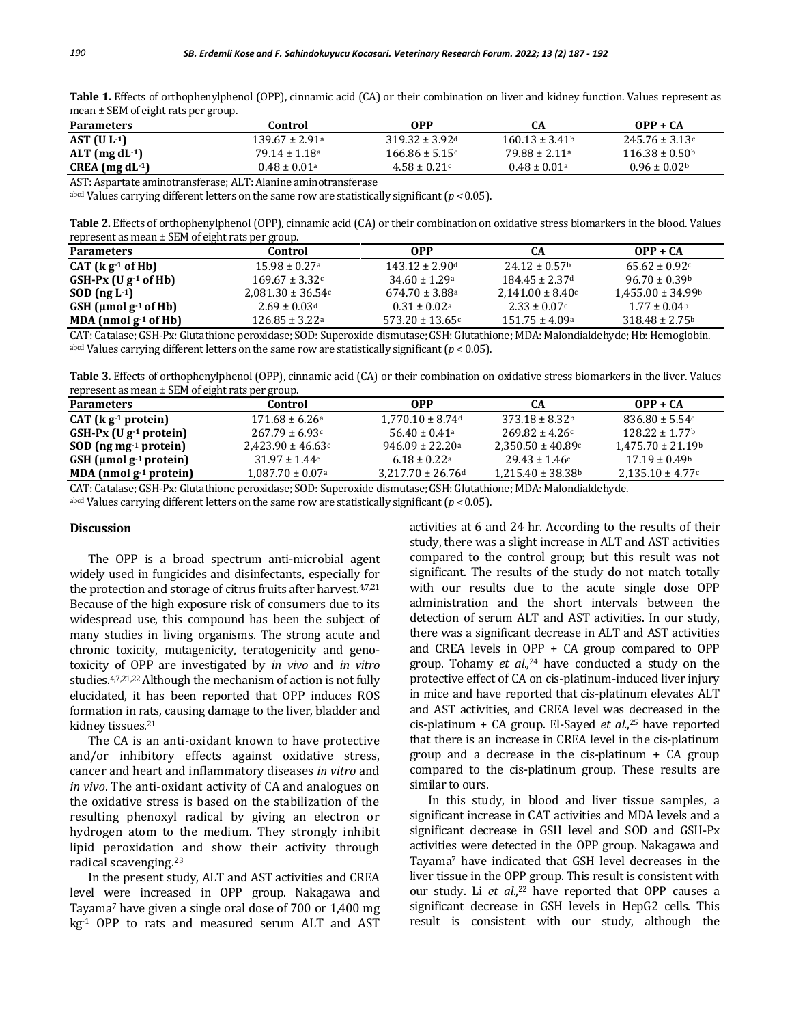| $mean = 3$ and $of$ eight rate per group. |                               |                                |                   |                           |  |
|-------------------------------------------|-------------------------------|--------------------------------|-------------------|---------------------------|--|
| <b>Parameters</b>                         | Control                       | OPP                            | CА                | $OPP + CA$                |  |
| AST $(U L-1)$                             | 139.67 ± 2.91ª                | $319.32 \pm 3.92$ <sup>d</sup> | $160.13 \pm 3.41$ | $245.76 \pm 3.13c$        |  |
| ALT $(mg dL^{-1})$                        | $79.14 \pm 1.18$ <sup>a</sup> | $166.86 \pm 5.15$              | $79.88 \pm 2.11a$ | $116.38 \pm 0.50^{\circ}$ |  |
| $CREA (mg dL-1)$                          | $0.48 \pm 0.01$ a             | $4.58 \pm 0.21c$               | $0.48 \pm 0.01a$  | $0.96 \pm 0.02$           |  |

**Table 1.** Effects of orthophenylphenol (OPP), cinnamic acid (CA) or their combination on liver and kidney function. Values represent as mean + SEM of eight rats per group.

AST: Aspartate aminotransferase; ALT: Alanine aminotransferase

abcd Values carrying different letters on the same row are statistically significant (*p <* 0.05).

**Table 2.** Effects of orthophenylphenol (OPP), cinnamic acid (CA) or their combination on oxidative stress biomarkers in the blood. Values represent as mean ± SEM of eight rats per group.

| <b>Parameters</b>                      | Control                        | 0PP                  | CА                        | $OPP + CA$                |
|----------------------------------------|--------------------------------|----------------------|---------------------------|---------------------------|
| $CAT (k g-1 of Hb)$                    | $15.98 \pm 0.27$ <sup>a</sup>  | $143.12 \pm 2.90$ d  | $24.12 \pm 0.57$          | $65.62 \pm 0.92c$         |
| $GSH-PX$ (U g-1 of Hb)                 | $169.67 \pm 3.32c$             | $34.60 \pm 1.29$ a   | $184.45 \pm 2.37$ d       | $96.70 + 0.39b$           |
| $SOD$ (ng L <sup>-1</sup> )            | $2,081.30 \pm 36.54$ c         | $674.70 \pm 3.88$ a  | $2.141.00 \pm 8.40$       | $1,455.00 \pm 34.99$      |
| GSH ( $\mu$ mol g <sup>-1</sup> of Hb) | $2.69 \pm 0.03$ d              | $0.31 \pm 0.02$ a    | $2.33 \pm 0.07$ c         | $1.77 \pm 0.04$           |
| MDA (nmol $g^{-1}$ of Hb)              | $126.85 \pm 3.22$ <sup>a</sup> | $573.20 \pm 13.65$ c | $151.75 \pm 4.09^{\circ}$ | $318.48 \pm 2.75^{\rm b}$ |

CAT: Catalase; GSH-Px: Glutathione peroxidase; SOD: Superoxide dismutase;GSH: Glutathione; MDA: Malondialdehyde; Hb: Hemoglobin. abcd Values carrying different letters on the same row are statistically significant ( $p < 0.05$ ).

**Table 3.** Effects of orthophenylphenol (OPP), cinnamic acid (CA) or their combination on oxidative stress biomarkers in the liver. Values represent as mean ± SEM of eight rats per group.

| <b>Parameters</b>                        | Control                          | 0PP                               | CА                                | $OPP + CA$                        |
|------------------------------------------|----------------------------------|-----------------------------------|-----------------------------------|-----------------------------------|
| CAT (kgr1 protein)                       | $171.68 \pm 6.26^{\circ}$        | $1.770.10 \pm 8.74$ <sup>d</sup>  | $373.18 \pm 8.32^b$               | $836.80 \pm 5.54$                 |
| $GSH-Px (Ug^{-1})$ protein               | $267.79 \pm 6.93c$               | $56.40 + 0.41a$                   | $269.82 \pm 4.26c$                | $128.22 \pm 1.77$                 |
| $SOD$ (ng mg <sup>-1</sup> protein)      | $2.423.90 \pm 46.63$ °           | $946.09 \pm 22.20$ a              | $2,350.50 \pm 40.89$ c            | $1.475.70 \pm 21.19$ <sup>b</sup> |
| GSH ( $\mu$ mol g <sup>-1</sup> protein) | $31.97 \pm 1.44c$                | $6.18 + 0.22a$                    | $29.43 \pm 1.46c$                 | $17.19 + 0.49$                    |
| MDA (nmol $g^{-1}$ protein)              | $1.087.70 \pm 0.07$ <sup>a</sup> | $3.217.70 \pm 26.76$ <sup>d</sup> | $1.215.40 \pm 38.38$ <sup>b</sup> | $2.135.10 \pm 4.77$               |

CAT: Catalase; GSH-Px: Glutathione peroxidase; SOD: Superoxide dismutase;GSH: Glutathione; MDA: Malondialdehyde.

abcd Values carrying different letters on the same row are statistically significant  $(p < 0.05)$ .

#### **Discussion**

The OPP is a broad spectrum anti-microbial agent widely used in fungicides and disinfectants, especially for the protection and storage of citrus fruits after harvest.<sup>4,7,21</sup> Because of the high exposure risk of consumers due to its widespread use, this compound has been the subject of many studies in living organisms. The strong acute and chronic toxicity, mutagenicity, teratogenicity and genotoxicity of OPP are investigated by *in vivo* and *in vitro*  studies.4,7,21,22 Although the mechanism of action is not fully elucidated, it has been reported that OPP induces ROS formation in rats, causing damage to the liver, bladder and kidney tissues.<sup>21</sup>

The CA is an anti-oxidant known to have protective and/or inhibitory effects against oxidative stress, cancer and heart and inflammatory diseases *in vitro* and *in vivo*. The anti-oxidant activity of CA and analogues on the oxidative stress is based on the stabilization of the resulting phenoxyl radical by giving an electron or hydrogen atom to the medium. They strongly inhibit lipid peroxidation and show their activity through radical scavenging.<sup>23</sup>

In the present study, ALT and AST activities and CREA level were increased in OPP group. Nakagawa and Tayama<sup>7</sup> have given a single oral dose of 700 or 1,400 mg kg-1 OPP to rats and measured serum ALT and AST

activities at 6 and 24 hr. According to the results of their study, there was a slight increase in ALT and AST activities compared to the control group; but this result was not significant. The results of the study do not match totally with our results due to the acute single dose OPP administration and the short intervals between the detection of serum ALT and AST activities. In our study, there was a significant decrease in ALT and AST activities and CREA levels in OPP + CA group compared to OPP group. Tohamy *et al*., <sup>24</sup> have conducted a study on the protective effect of CA on cis-platinum-induced liver injury in mice and have reported that cis-platinum elevates ALT and AST activities, and CREA level was decreased in the cis-platinum + CA group. El-Sayed *et al.*, <sup>25</sup> have reported that there is an increase in CREA level in the cis-platinum group and a decrease in the cis-platinum + CA group compared to the cis-platinum group. These results are similar to ours.

In this study, in blood and liver tissue samples, a significant increase in CAT activities and MDA levels and a significant decrease in GSH level and SOD and GSH-Px activities were detected in the OPP group. Nakagawa and Tayama<sup>7</sup> have indicated that GSH level decreases in the liver tissue in the OPP group. This result is consistent with our study. Li *et al*., <sup>22</sup> have reported that OPP causes a significant decrease in GSH levels in HepG2 cells. This result is consistent with our study, although the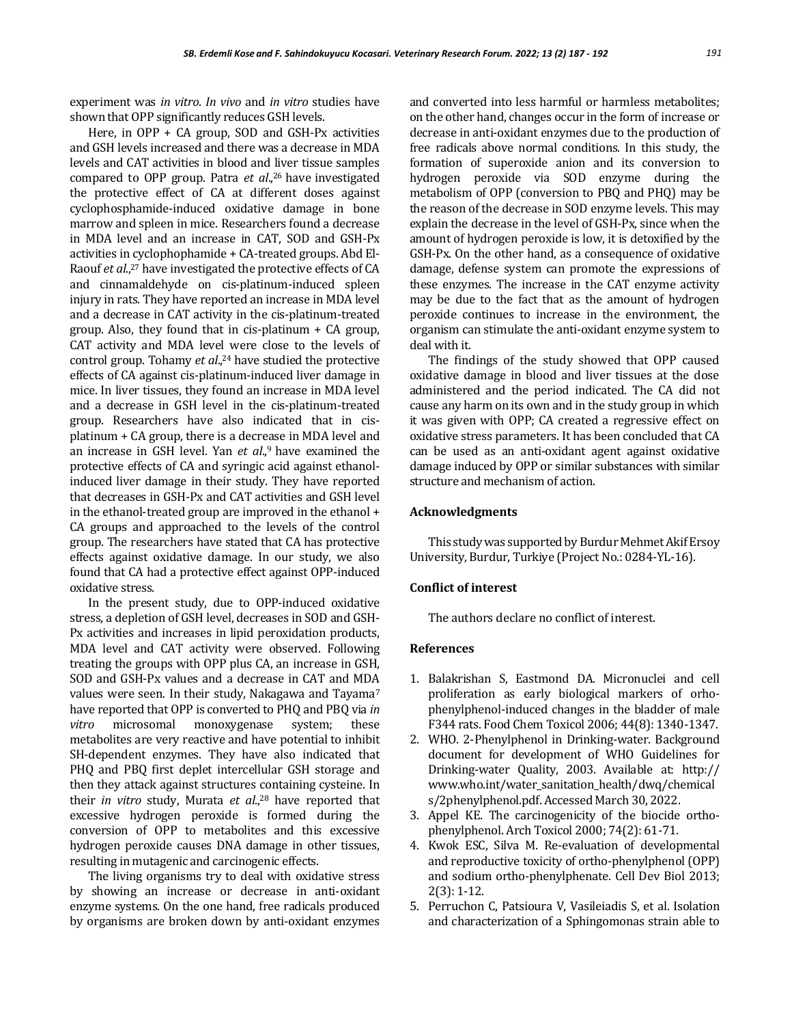experiment was *in vitro*. *In vivo* and *in vitro* studies have shown that OPP significantly reduces GSH levels.

Here, in OPP + CA group, SOD and GSH-Px activities and GSH levels increased and there was a decrease in MDA levels and CAT activities in blood and liver tissue samples compared to OPP group. Patra et al.,<sup>26</sup> have investigated the protective effect of CA at different doses against cyclophosphamide-induced oxidative damage in bone marrow and spleen in mice. Researchers found a decrease in MDA level and an increase in CAT, SOD and GSH-Px activities in cyclophophamide + CA-treated groups. Abd El-Raouf *et al*., <sup>27</sup> have investigated the protective effects of CA and cinnamaldehyde on cis-platinum-induced spleen injury in rats. They have reported an increase in MDA level and a decrease in CAT activity in the cis-platinum-treated group. Also, they found that in cis-platinum + CA group, CAT activity and MDA level were close to the levels of control group. Tohamy *et al*., <sup>24</sup> have studied the protective effects of CA against cis-platinum-induced liver damage in mice. In liver tissues, they found an increase in MDA level and a decrease in GSH level in the cis-platinum-treated group. Researchers have also indicated that in cisplatinum + CA group, there is a decrease in MDA level and an increase in GSH level. Yan et al.,<sup>9</sup> have examined the protective effects of CA and syringic acid against ethanolinduced liver damage in their study. They have reported that decreases in GSH-Px and CAT activities and GSH level in the ethanol-treated group are improved in the ethanol + CA groups and approached to the levels of the control group. The researchers have stated that CA has protective effects against oxidative damage. In our study, we also found that CA had a protective effect against OPP-induced oxidative stress.

In the present study, due to OPP-induced oxidative stress, a depletion of GSH level, decreases in SOD and GSH-Px activities and increases in lipid peroxidation products, MDA level and CAT activity were observed. Following treating the groups with OPP plus CA, an increase in GSH, SOD and GSH-Px values and a decrease in CAT and MDA values were seen. In their study, Nakagawa and Tayama<sup>7</sup> have reported that OPP is converted to PHQ and PBQ via *in vitro* microsomal monoxygenase system; these metabolites are very reactive and have potential to inhibit SH-dependent enzymes. They have also indicated that PHQ and PBQ first deplet intercellular GSH storage and then they attack against structures containing cysteine. In their *in vitro* study, Murata *et al*., <sup>28</sup> have reported that excessive hydrogen peroxide is formed during the conversion of OPP to metabolites and this excessive hydrogen peroxide causes DNA damage in other tissues, resulting in mutagenic and carcinogenic effects.

The living organisms try to deal with oxidative stress by showing an increase or decrease in anti-oxidant enzyme systems. On the one hand, free radicals produced by organisms are broken down by anti-oxidant enzymes

and converted into less harmful or harmless metabolites; on the other hand, changes occur in the form of increase or decrease in anti-oxidant enzymes due to the production of free radicals above normal conditions. In this study, the formation of superoxide anion and its conversion to hydrogen peroxide via SOD enzyme during the metabolism of OPP (conversion to PBQ and PHQ) may be the reason of the decrease in SOD enzyme levels. This may explain the decrease in the level of GSH-Px, since when the amount of hydrogen peroxide is low, it is detoxified by the GSH-Px. On the other hand, as a consequence of oxidative damage, defense system can promote the expressions of these enzymes. The increase in the CAT enzyme activity may be due to the fact that as the amount of hydrogen peroxide continues to increase in the environment, the organism can stimulate the anti-oxidant enzyme system to deal with it.

The findings of the study showed that OPP caused oxidative damage in blood and liver tissues at the dose administered and the period indicated. The CA did not cause any harm on its own and in the study group in which it was given with OPP; CA created a regressive effect on oxidative stress parameters. It has been concluded that CA can be used as an anti-oxidant agent against oxidative damage induced by OPP or similar substances with similar structure and mechanism of action.

### **Acknowledgments**

This study was supported by Burdur Mehmet Akif Ersoy University, Burdur, Turkiye (Project No.: 0284-YL-16).

#### **Conflict of interest**

The authors declare no conflict of interest.

#### **References**

- 1. Balakrishan S, Eastmond DA. Micronuclei and cell proliferation as early biological markers of orhophenylphenol-induced changes in the bladder of male F344 rats. Food Chem Toxicol 2006; 44(8): 1340-1347.
- 2. WHO. 2-Phenylphenol in Drinking-water. Background document for development of WHO Guidelines for Drinking-water Quality, 2003. Available at: http:// www.who.int/water\_sanitation\_health/dwq/chemical s/2phenylphenol.pdf. Accessed March 30, 2022.
- 3. Appel KE. The carcinogenicity of the biocide orthophenylphenol. Arch Toxicol 2000; 74(2): 61-71.
- 4. Kwok ESC, Silva M. Re-evaluation of developmental and reproductive toxicity of ortho-phenylphenol (OPP) and sodium ortho-phenylphenate. Cell Dev Biol 2013; 2(3): 1-12.
- 5. Perruchon C, Patsioura V, Vasileiadis S, et al. Isolation and characterization of a Sphingomonas strain able to